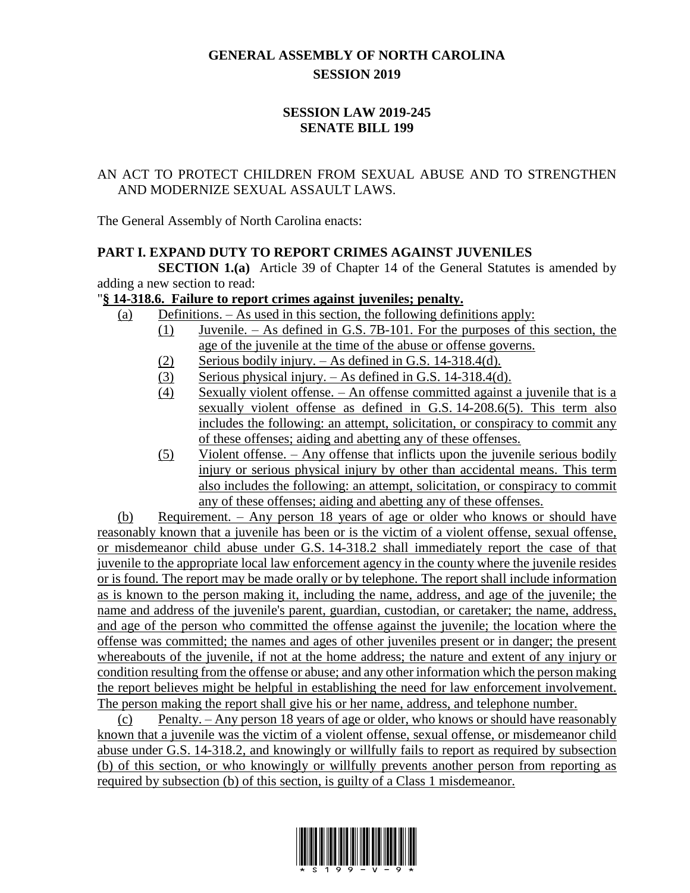# **GENERAL ASSEMBLY OF NORTH CAROLINA SESSION 2019**

### **SESSION LAW 2019-245 SENATE BILL 199**

### AN ACT TO PROTECT CHILDREN FROM SEXUAL ABUSE AND TO STRENGTHEN AND MODERNIZE SEXUAL ASSAULT LAWS.

The General Assembly of North Carolina enacts:

### **PART I. EXPAND DUTY TO REPORT CRIMES AGAINST JUVENILES**

**SECTION 1.(a)** Article 39 of Chapter 14 of the General Statutes is amended by adding a new section to read:

#### "**§ 14-318.6. Failure to report crimes against juveniles; penalty.**

- (a) Definitions. As used in this section, the following definitions apply:
	- (1) Juvenile. As defined in G.S. 7B-101. For the purposes of this section, the age of the juvenile at the time of the abuse or offense governs.
	- (2) Serious bodily injury.  $-$  As defined in G.S. 14-318.4(d).
	- (3) Serious physical injury. As defined in G.S. 14-318.4(d).
	- (4) Sexually violent offense. An offense committed against a juvenile that is a sexually violent offense as defined in G.S. 14-208.6(5). This term also includes the following: an attempt, solicitation, or conspiracy to commit any of these offenses; aiding and abetting any of these offenses.
	- (5) Violent offense. Any offense that inflicts upon the juvenile serious bodily injury or serious physical injury by other than accidental means. This term also includes the following: an attempt, solicitation, or conspiracy to commit any of these offenses; aiding and abetting any of these offenses.

(b) Requirement. – Any person 18 years of age or older who knows or should have reasonably known that a juvenile has been or is the victim of a violent offense, sexual offense, or misdemeanor child abuse under G.S. 14-318.2 shall immediately report the case of that juvenile to the appropriate local law enforcement agency in the county where the juvenile resides or is found. The report may be made orally or by telephone. The report shall include information as is known to the person making it, including the name, address, and age of the juvenile; the name and address of the juvenile's parent, guardian, custodian, or caretaker; the name, address, and age of the person who committed the offense against the juvenile; the location where the offense was committed; the names and ages of other juveniles present or in danger; the present whereabouts of the juvenile, if not at the home address; the nature and extent of any injury or condition resulting from the offense or abuse; and any other information which the person making the report believes might be helpful in establishing the need for law enforcement involvement. The person making the report shall give his or her name, address, and telephone number.

(c) Penalty. – Any person 18 years of age or older, who knows or should have reasonably known that a juvenile was the victim of a violent offense, sexual offense, or misdemeanor child abuse under G.S. 14-318.2, and knowingly or willfully fails to report as required by subsection (b) of this section, or who knowingly or willfully prevents another person from reporting as required by subsection (b) of this section, is guilty of a Class 1 misdemeanor.

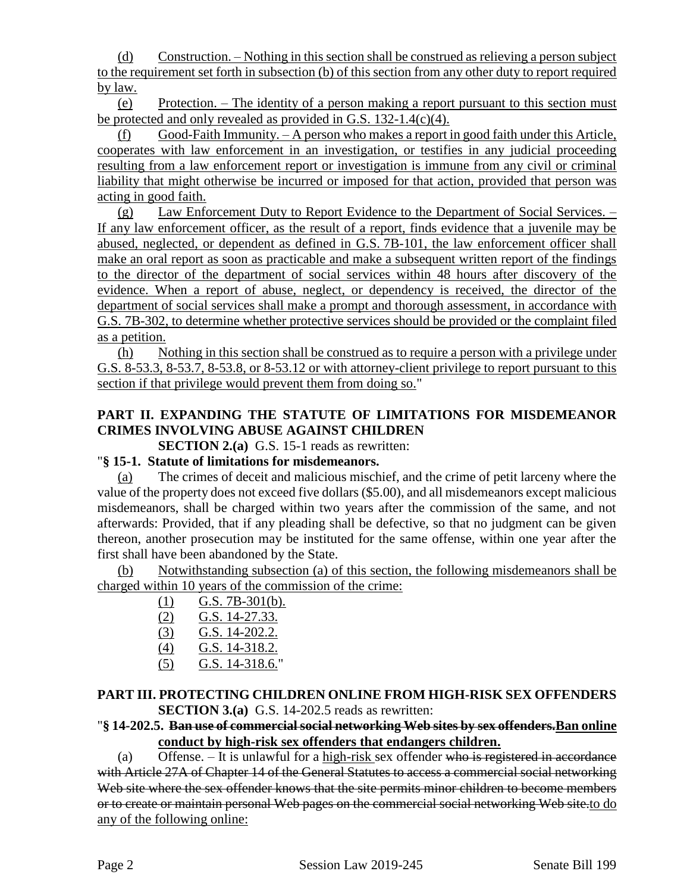(d) Construction. – Nothing in this section shall be construed as relieving a person subject to the requirement set forth in subsection (b) of this section from any other duty to report required by law.

(e) Protection. – The identity of a person making a report pursuant to this section must be protected and only revealed as provided in G.S. 132-1.4(c)(4).

(f) Good-Faith Immunity. – A person who makes a report in good faith under this Article, cooperates with law enforcement in an investigation, or testifies in any judicial proceeding resulting from a law enforcement report or investigation is immune from any civil or criminal liability that might otherwise be incurred or imposed for that action, provided that person was acting in good faith.

(g) Law Enforcement Duty to Report Evidence to the Department of Social Services. – If any law enforcement officer, as the result of a report, finds evidence that a juvenile may be abused, neglected, or dependent as defined in G.S. 7B-101, the law enforcement officer shall make an oral report as soon as practicable and make a subsequent written report of the findings to the director of the department of social services within 48 hours after discovery of the evidence. When a report of abuse, neglect, or dependency is received, the director of the department of social services shall make a prompt and thorough assessment, in accordance with G.S. 7B-302, to determine whether protective services should be provided or the complaint filed as a petition.

(h) Nothing in this section shall be construed as to require a person with a privilege under G.S. 8-53.3, 8-53.7, 8-53.8, or 8-53.12 or with attorney-client privilege to report pursuant to this section if that privilege would prevent them from doing so."

## **PART II. EXPANDING THE STATUTE OF LIMITATIONS FOR MISDEMEANOR CRIMES INVOLVING ABUSE AGAINST CHILDREN**

**SECTION 2.(a)** G.S. 15-1 reads as rewritten:

### "**§ 15-1. Statute of limitations for misdemeanors.**

(a) The crimes of deceit and malicious mischief, and the crime of petit larceny where the value of the property does not exceed five dollars (\$5.00), and all misdemeanors except malicious misdemeanors, shall be charged within two years after the commission of the same, and not afterwards: Provided, that if any pleading shall be defective, so that no judgment can be given thereon, another prosecution may be instituted for the same offense, within one year after the first shall have been abandoned by the State.

(b) Notwithstanding subsection (a) of this section, the following misdemeanors shall be charged within 10 years of the commission of the crime:

- (1) G.S. 7B-301(b).
- (2) G.S. 14-27.33.
- $(3)$  G.S. 14-202.2.
- (4) G.S. 14-318.2.
- $(5)$  G.S. 14-318.6."

### **PART III. PROTECTING CHILDREN ONLINE FROM HIGH-RISK SEX OFFENDERS SECTION 3.(a)** G.S. 14-202.5 reads as rewritten:

#### "**§ 14-202.5. Ban use of commercial social networking Web sites by sex offenders.Ban online conduct by high-risk sex offenders that endangers children.**

(a) Offense. – It is unlawful for a high-risk sex offender who is registered in accordance with Article 27A of Chapter 14 of the General Statutes to access a commercial social networking Web site where the sex offender knows that the site permits minor children to become members or to create or maintain personal Web pages on the commercial social networking Web site.to do any of the following online: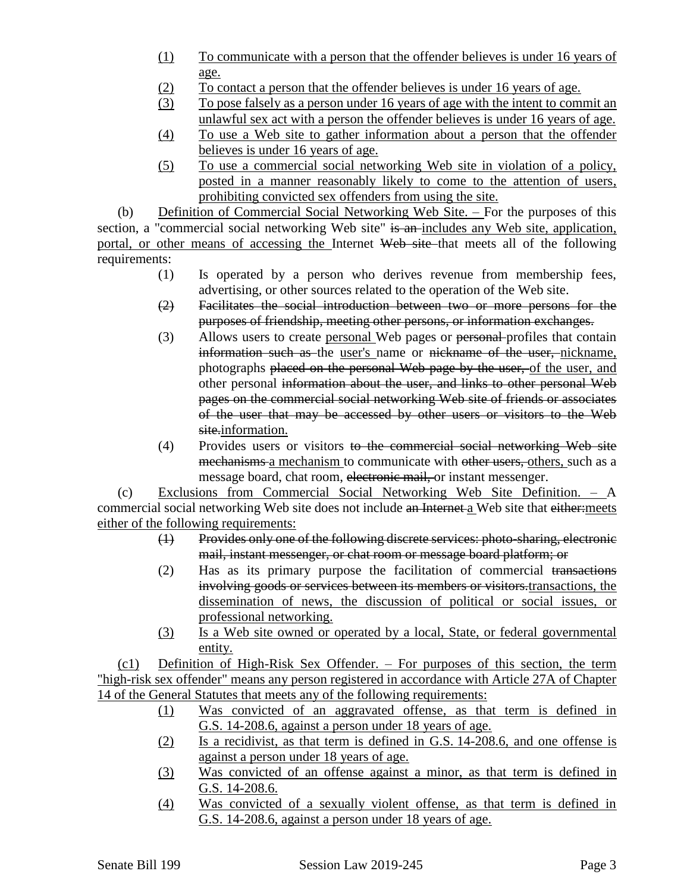- (1) To communicate with a person that the offender believes is under 16 years of age.
- (2) To contact a person that the offender believes is under 16 years of age.
- (3) To pose falsely as a person under 16 years of age with the intent to commit an unlawful sex act with a person the offender believes is under 16 years of age.
- (4) To use a Web site to gather information about a person that the offender believes is under 16 years of age.
- (5) To use a commercial social networking Web site in violation of a policy, posted in a manner reasonably likely to come to the attention of users, prohibiting convicted sex offenders from using the site.

(b) Definition of Commercial Social Networking Web Site. – For the purposes of this section, a "commercial social networking Web site" is an includes any Web site, application, portal, or other means of accessing the Internet Web site that meets all of the following requirements:

- (1) Is operated by a person who derives revenue from membership fees, advertising, or other sources related to the operation of the Web site.
- (2) Facilitates the social introduction between two or more persons for the purposes of friendship, meeting other persons, or information exchanges.
- (3) Allows users to create personal Web pages or personal-profiles that contain information such as the user's name or nickname of the user, nickname, photographs placed on the personal Web page by the user, of the user, and other personal information about the user, and links to other personal Web pages on the commercial social networking Web site of friends or associates of the user that may be accessed by other users or visitors to the Web site.information.
- (4) Provides users or visitors to the commercial social networking Web site mechanisms a mechanism to communicate with other users, others, such as a message board, chat room, electronic mail, or instant messenger.

(c) Exclusions from Commercial Social Networking Web Site Definition. – A commercial social networking Web site does not include an Internet a Web site that either: meets either of the following requirements:

- (1) Provides only one of the following discrete services: photo-sharing, electronic mail, instant messenger, or chat room or message board platform; or
- (2) Has as its primary purpose the facilitation of commercial transactions involving goods or services between its members or visitors.transactions, the dissemination of news, the discussion of political or social issues, or professional networking.
- (3) Is a Web site owned or operated by a local, State, or federal governmental entity.

(c1) Definition of High-Risk Sex Offender. – For purposes of this section, the term "high-risk sex offender" means any person registered in accordance with Article 27A of Chapter 14 of the General Statutes that meets any of the following requirements:

- (1) Was convicted of an aggravated offense, as that term is defined in G.S. 14-208.6, against a person under 18 years of age.
- (2) Is a recidivist, as that term is defined in G.S. 14-208.6, and one offense is against a person under 18 years of age.
- (3) Was convicted of an offense against a minor, as that term is defined in G.S. 14-208.6.
- (4) Was convicted of a sexually violent offense, as that term is defined in G.S. 14-208.6, against a person under 18 years of age.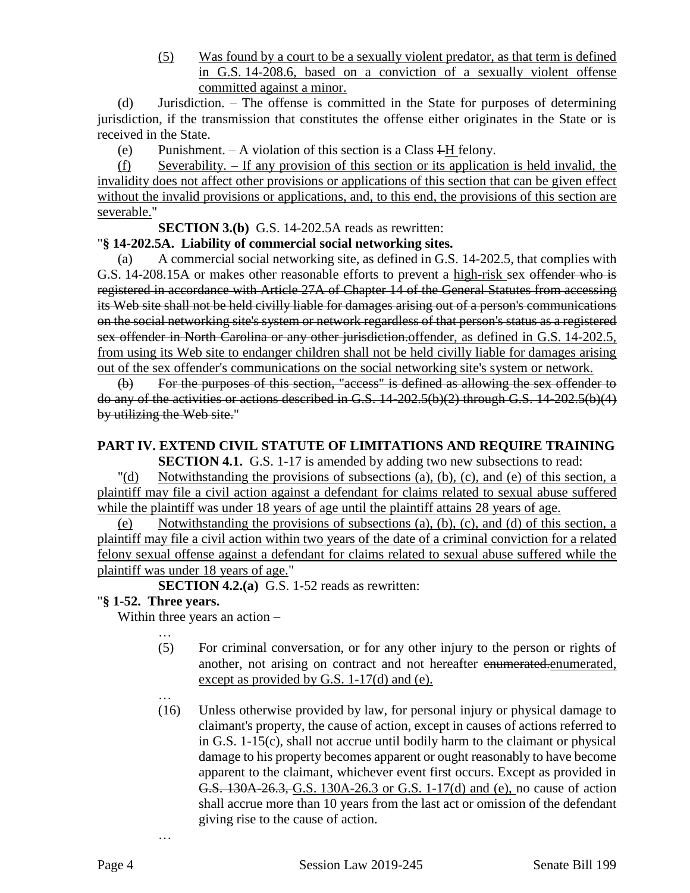(5) Was found by a court to be a sexually violent predator, as that term is defined in G.S. 14-208.6, based on a conviction of a sexually violent offense committed against a minor.

(d) Jurisdiction. – The offense is committed in the State for purposes of determining jurisdiction, if the transmission that constitutes the offense either originates in the State or is received in the State.

(e) Punishment.  $- A$  violation of this section is a Class  $\overline{H}$  felony.

(f) Severability. – If any provision of this section or its application is held invalid, the invalidity does not affect other provisions or applications of this section that can be given effect without the invalid provisions or applications, and, to this end, the provisions of this section are severable."

**SECTION 3.(b)** G.S. 14-202.5A reads as rewritten:

### "**§ 14-202.5A. Liability of commercial social networking sites.**

A commercial social networking site, as defined in G.S. 14-202.5, that complies with G.S. 14-208.15A or makes other reasonable efforts to prevent a high-risk sex offender who is registered in accordance with Article 27A of Chapter 14 of the General Statutes from accessing its Web site shall not be held civilly liable for damages arising out of a person's communications on the social networking site's system or network regardless of that person's status as a registered sex offender in North Carolina or any other jurisdiction. offender, as defined in G.S. 14-202.5, from using its Web site to endanger children shall not be held civilly liable for damages arising out of the sex offender's communications on the social networking site's system or network.

(b) For the purposes of this section, "access" is defined as allowing the sex offender to do any of the activities or actions described in G.S. 14-202.5(b)(2) through G.S. 14-202.5(b)(4) by utilizing the Web site."

## **PART IV. EXTEND CIVIL STATUTE OF LIMITATIONS AND REQUIRE TRAINING**

**SECTION 4.1.** G.S. 1-17 is amended by adding two new subsections to read:

"(d) Notwithstanding the provisions of subsections (a), (b), (c), and (e) of this section, a plaintiff may file a civil action against a defendant for claims related to sexual abuse suffered while the plaintiff was under 18 years of age until the plaintiff attains 28 years of age.

(e) Notwithstanding the provisions of subsections (a), (b), (c), and (d) of this section, a plaintiff may file a civil action within two years of the date of a criminal conviction for a related felony sexual offense against a defendant for claims related to sexual abuse suffered while the plaintiff was under 18 years of age."

**SECTION 4.2.(a)** G.S. 1-52 reads as rewritten:

### "**§ 1-52. Three years.**

…

…

…

Within three years an action –

- (5) For criminal conversation, or for any other injury to the person or rights of another, not arising on contract and not hereafter enumerated.enumerated, except as provided by G.S. 1-17(d) and (e).
- (16) Unless otherwise provided by law, for personal injury or physical damage to claimant's property, the cause of action, except in causes of actions referred to in G.S. 1-15(c), shall not accrue until bodily harm to the claimant or physical damage to his property becomes apparent or ought reasonably to have become apparent to the claimant, whichever event first occurs. Except as provided in G.S. 130A-26.3, G.S. 130A-26.3 or G.S. 1-17(d) and (e), no cause of action shall accrue more than 10 years from the last act or omission of the defendant giving rise to the cause of action.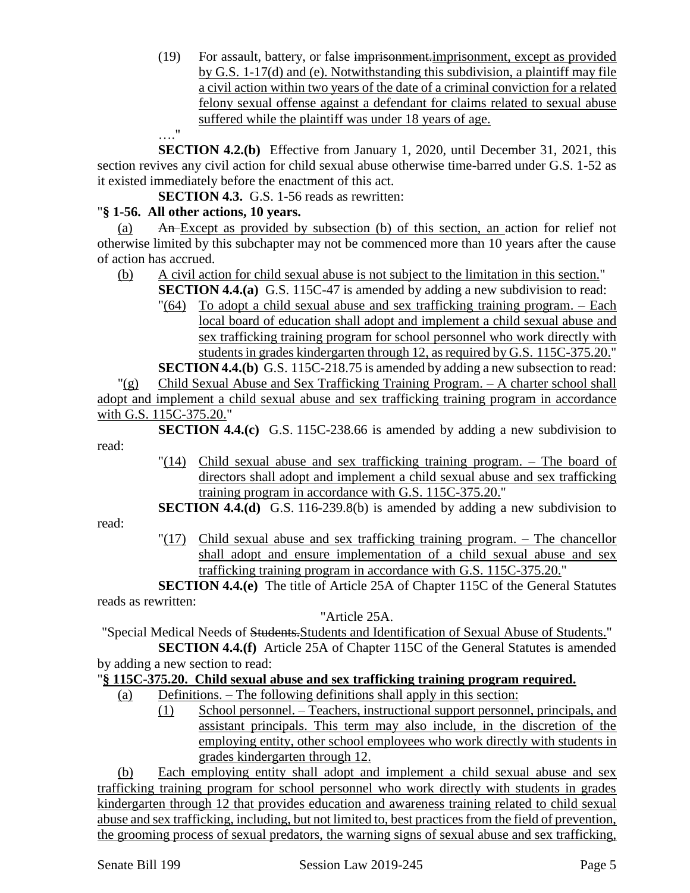(19) For assault, battery, or false imprisonment.imprisonment, except as provided by G.S. 1-17(d) and (e). Notwithstanding this subdivision, a plaintiff may file a civil action within two years of the date of a criminal conviction for a related felony sexual offense against a defendant for claims related to sexual abuse suffered while the plaintiff was under 18 years of age. …."

**SECTION 4.2.(b)** Effective from January 1, 2020, until December 31, 2021, this section revives any civil action for child sexual abuse otherwise time-barred under G.S. 1-52 as it existed immediately before the enactment of this act.

**SECTION 4.3.** G.S. 1-56 reads as rewritten:

### "**§ 1-56. All other actions, 10 years.**

(a) An Except as provided by subsection (b) of this section, an action for relief not otherwise limited by this subchapter may not be commenced more than 10 years after the cause of action has accrued.

- (b) A civil action for child sexual abuse is not subject to the limitation in this section."
	- **SECTION 4.4.(a)** G.S. 115C-47 is amended by adding a new subdivision to read:
		- "(64) To adopt a child sexual abuse and sex trafficking training program. Each local board of education shall adopt and implement a child sexual abuse and sex trafficking training program for school personnel who work directly with students in grades kindergarten through 12, as required by G.S. 115C-375.20."

**SECTION 4.4.(b)** G.S. 115C-218.75 is amended by adding a new subsection to read:

"(g) Child Sexual Abuse and Sex Trafficking Training Program. – A charter school shall adopt and implement a child sexual abuse and sex trafficking training program in accordance with G.S. 115C-375.20."

**SECTION 4.4.(c)** G.S. 115C-238.66 is amended by adding a new subdivision to read:

> "(14) Child sexual abuse and sex trafficking training program. – The board of directors shall adopt and implement a child sexual abuse and sex trafficking training program in accordance with G.S. 115C-375.20."

> **SECTION 4.4.(d)** G.S. 116-239.8(b) is amended by adding a new subdivision to

read:

"(17) Child sexual abuse and sex trafficking training program. – The chancellor shall adopt and ensure implementation of a child sexual abuse and sex trafficking training program in accordance with G.S. 115C-375.20."

**SECTION 4.4.(e)** The title of Article 25A of Chapter 115C of the General Statutes reads as rewritten:

"Article 25A.

"Special Medical Needs of Students.Students and Identification of Sexual Abuse of Students."

**SECTION 4.4.(f)** Article 25A of Chapter 115C of the General Statutes is amended by adding a new section to read:

### "**§ 115C-375.20. Child sexual abuse and sex trafficking training program required.**

- (a) Definitions. The following definitions shall apply in this section:
	- (1) School personnel. Teachers, instructional support personnel, principals, and assistant principals. This term may also include, in the discretion of the employing entity, other school employees who work directly with students in grades kindergarten through 12.

(b) Each employing entity shall adopt and implement a child sexual abuse and sex trafficking training program for school personnel who work directly with students in grades kindergarten through 12 that provides education and awareness training related to child sexual abuse and sex trafficking, including, but not limited to, best practices from the field of prevention, the grooming process of sexual predators, the warning signs of sexual abuse and sex trafficking,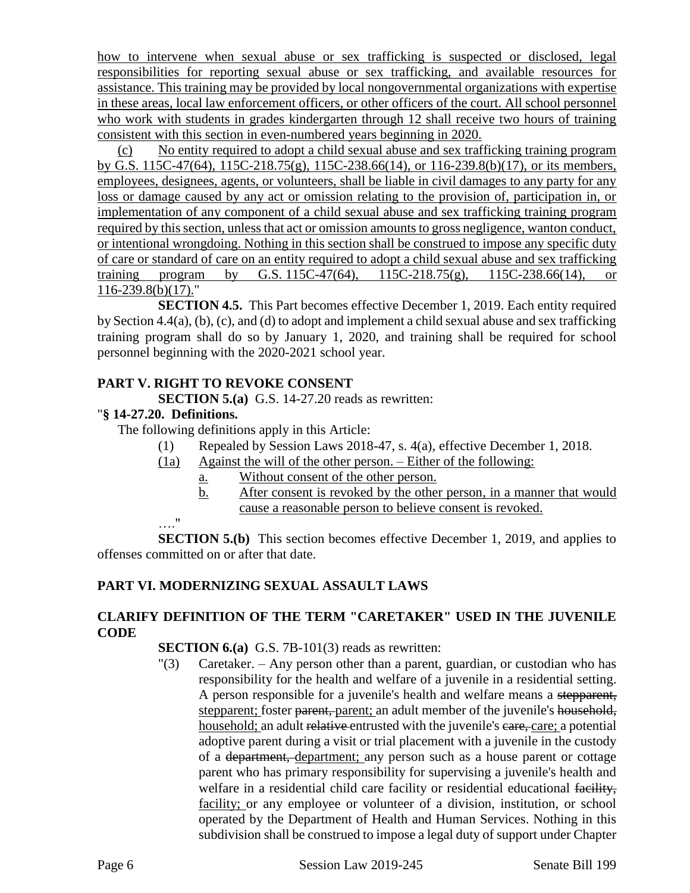how to intervene when sexual abuse or sex trafficking is suspected or disclosed, legal responsibilities for reporting sexual abuse or sex trafficking, and available resources for assistance. This training may be provided by local nongovernmental organizations with expertise in these areas, local law enforcement officers, or other officers of the court. All school personnel who work with students in grades kindergarten through 12 shall receive two hours of training consistent with this section in even-numbered years beginning in 2020.

(c) No entity required to adopt a child sexual abuse and sex trafficking training program by G.S. 115C-47(64), 115C-218.75(g), 115C-238.66(14), or 116-239.8(b)(17), or its members, employees, designees, agents, or volunteers, shall be liable in civil damages to any party for any loss or damage caused by any act or omission relating to the provision of, participation in, or implementation of any component of a child sexual abuse and sex trafficking training program required by this section, unless that act or omission amounts to gross negligence, wanton conduct, or intentional wrongdoing. Nothing in this section shall be construed to impose any specific duty of care or standard of care on an entity required to adopt a child sexual abuse and sex trafficking training program by G.S. 115C-47(64), 115C-218.75(g), 115C-238.66(14), or  $116-239.8(b)(17)$ ."

**SECTION 4.5.** This Part becomes effective December 1, 2019. Each entity required by Section 4.4(a), (b), (c), and (d) to adopt and implement a child sexual abuse and sex trafficking training program shall do so by January 1, 2020, and training shall be required for school personnel beginning with the 2020-2021 school year.

## **PART V. RIGHT TO REVOKE CONSENT**

**SECTION 5.(a)** G.S. 14-27.20 reads as rewritten:

## "**§ 14-27.20. Definitions.**

The following definitions apply in this Article:

- (1) Repealed by Session Laws 2018-47, s. 4(a), effective December 1, 2018.
- (1a) Against the will of the other person. Either of the following:
	- a. Without consent of the other person.
		- b. After consent is revoked by the other person, in a manner that would cause a reasonable person to believe consent is revoked.

…."

**SECTION 5.(b)** This section becomes effective December 1, 2019, and applies to offenses committed on or after that date.

# **PART VI. MODERNIZING SEXUAL ASSAULT LAWS**

### **CLARIFY DEFINITION OF THE TERM "CARETAKER" USED IN THE JUVENILE CODE**

**SECTION 6.(a)** G.S. 7B-101(3) reads as rewritten:

"(3) Caretaker. – Any person other than a parent, guardian, or custodian who has responsibility for the health and welfare of a juvenile in a residential setting. A person responsible for a juvenile's health and welfare means a stepparent, stepparent; foster parent, parent; an adult member of the juvenile's household, household; an adult relative entrusted with the juvenile's eare, care; a potential adoptive parent during a visit or trial placement with a juvenile in the custody of a department, department; any person such as a house parent or cottage parent who has primary responsibility for supervising a juvenile's health and welfare in a residential child care facility or residential educational facility, facility; or any employee or volunteer of a division, institution, or school operated by the Department of Health and Human Services. Nothing in this subdivision shall be construed to impose a legal duty of support under Chapter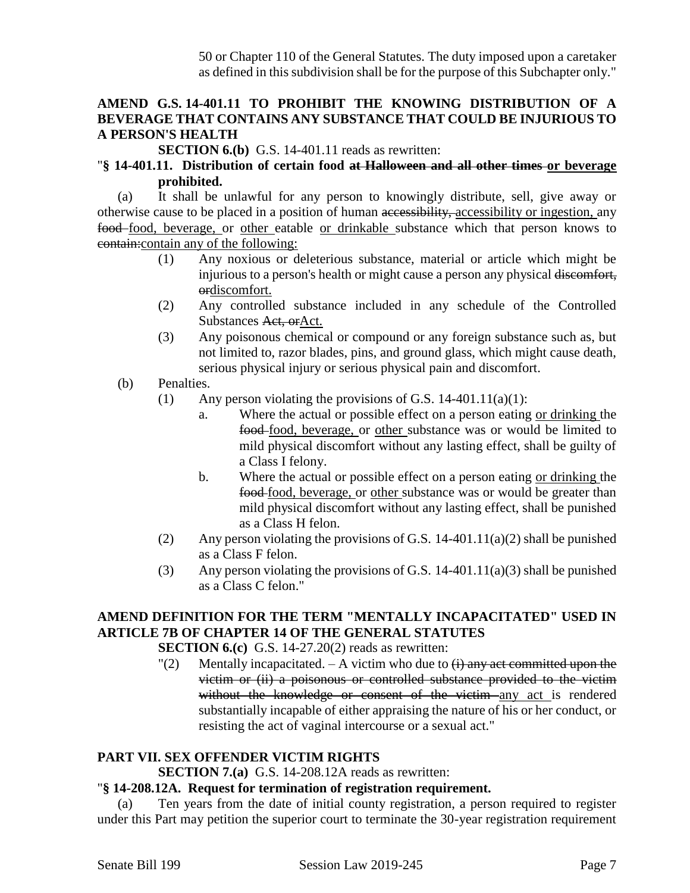50 or Chapter 110 of the General Statutes. The duty imposed upon a caretaker as defined in this subdivision shall be for the purpose of this Subchapter only."

### **AMEND G.S. 14-401.11 TO PROHIBIT THE KNOWING DISTRIBUTION OF A BEVERAGE THAT CONTAINS ANY SUBSTANCE THAT COULD BE INJURIOUS TO A PERSON'S HEALTH**

**SECTION 6.(b)** G.S. 14-401.11 reads as rewritten:

#### "**§ 14-401.11. Distribution of certain food at Halloween and all other times or beverage prohibited.**

(a) It shall be unlawful for any person to knowingly distribute, sell, give away or otherwise cause to be placed in a position of human accessibility, accessibility or ingestion, any food food, beverage, or other eatable or drinkable substance which that person knows to contain:contain any of the following:

- (1) Any noxious or deleterious substance, material or article which might be injurious to a person's health or might cause a person any physical discomfort, ordiscomfort.
- (2) Any controlled substance included in any schedule of the Controlled Substances Act, orAct.
- (3) Any poisonous chemical or compound or any foreign substance such as, but not limited to, razor blades, pins, and ground glass, which might cause death, serious physical injury or serious physical pain and discomfort.
- (b) Penalties.
	- (1) Any person violating the provisions of G.S.  $14-401.11(a)(1)$ :
		- a. Where the actual or possible effect on a person eating or drinking the food-food, beverage, or other substance was or would be limited to mild physical discomfort without any lasting effect, shall be guilty of a Class I felony.
		- b. Where the actual or possible effect on a person eating or drinking the food-food, beverage, or other substance was or would be greater than mild physical discomfort without any lasting effect, shall be punished as a Class H felon.
	- (2) Any person violating the provisions of G.S. 14-401.11(a)(2) shall be punished as a Class F felon.
	- (3) Any person violating the provisions of G.S.  $14-401.11(a)(3)$  shall be punished as a Class C felon."

# **AMEND DEFINITION FOR THE TERM "MENTALLY INCAPACITATED" USED IN ARTICLE 7B OF CHAPTER 14 OF THE GENERAL STATUTES**

**SECTION 6.(c)** G.S. 14-27.20(2) reads as rewritten:

 $\Gamma(2)$  Mentally incapacitated. – A victim who due to  $\overrightarrow{(i)}$  any act committed upon the victim or (ii) a poisonous or controlled substance provided to the victim without the knowledge or consent of the victim any act is rendered substantially incapable of either appraising the nature of his or her conduct, or resisting the act of vaginal intercourse or a sexual act."

# **PART VII. SEX OFFENDER VICTIM RIGHTS**

**SECTION 7.(a)** G.S. 14-208.12A reads as rewritten:

### "**§ 14-208.12A. Request for termination of registration requirement.**

(a) Ten years from the date of initial county registration, a person required to register under this Part may petition the superior court to terminate the 30-year registration requirement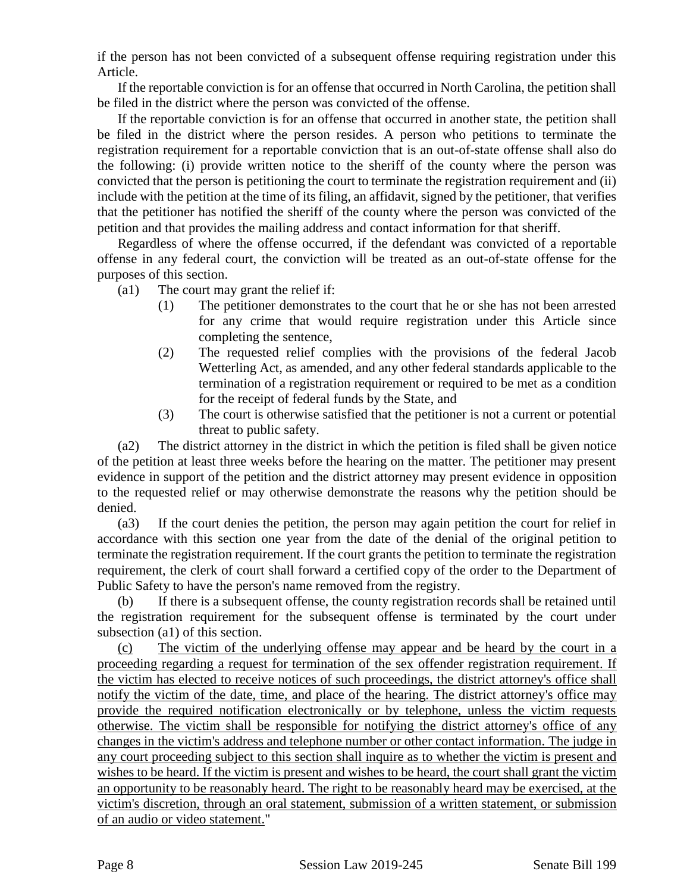if the person has not been convicted of a subsequent offense requiring registration under this Article.

If the reportable conviction is for an offense that occurred in North Carolina, the petition shall be filed in the district where the person was convicted of the offense.

If the reportable conviction is for an offense that occurred in another state, the petition shall be filed in the district where the person resides. A person who petitions to terminate the registration requirement for a reportable conviction that is an out-of-state offense shall also do the following: (i) provide written notice to the sheriff of the county where the person was convicted that the person is petitioning the court to terminate the registration requirement and (ii) include with the petition at the time of its filing, an affidavit, signed by the petitioner, that verifies that the petitioner has notified the sheriff of the county where the person was convicted of the petition and that provides the mailing address and contact information for that sheriff.

Regardless of where the offense occurred, if the defendant was convicted of a reportable offense in any federal court, the conviction will be treated as an out-of-state offense for the purposes of this section.

- (a1) The court may grant the relief if:
	- (1) The petitioner demonstrates to the court that he or she has not been arrested for any crime that would require registration under this Article since completing the sentence,
	- (2) The requested relief complies with the provisions of the federal Jacob Wetterling Act, as amended, and any other federal standards applicable to the termination of a registration requirement or required to be met as a condition for the receipt of federal funds by the State, and
	- (3) The court is otherwise satisfied that the petitioner is not a current or potential threat to public safety.

(a2) The district attorney in the district in which the petition is filed shall be given notice of the petition at least three weeks before the hearing on the matter. The petitioner may present evidence in support of the petition and the district attorney may present evidence in opposition to the requested relief or may otherwise demonstrate the reasons why the petition should be denied.

(a3) If the court denies the petition, the person may again petition the court for relief in accordance with this section one year from the date of the denial of the original petition to terminate the registration requirement. If the court grants the petition to terminate the registration requirement, the clerk of court shall forward a certified copy of the order to the Department of Public Safety to have the person's name removed from the registry.

(b) If there is a subsequent offense, the county registration records shall be retained until the registration requirement for the subsequent offense is terminated by the court under subsection (a1) of this section.

(c) The victim of the underlying offense may appear and be heard by the court in a proceeding regarding a request for termination of the sex offender registration requirement. If the victim has elected to receive notices of such proceedings, the district attorney's office shall notify the victim of the date, time, and place of the hearing. The district attorney's office may provide the required notification electronically or by telephone, unless the victim requests otherwise. The victim shall be responsible for notifying the district attorney's office of any changes in the victim's address and telephone number or other contact information. The judge in any court proceeding subject to this section shall inquire as to whether the victim is present and wishes to be heard. If the victim is present and wishes to be heard, the court shall grant the victim an opportunity to be reasonably heard. The right to be reasonably heard may be exercised, at the victim's discretion, through an oral statement, submission of a written statement, or submission of an audio or video statement."